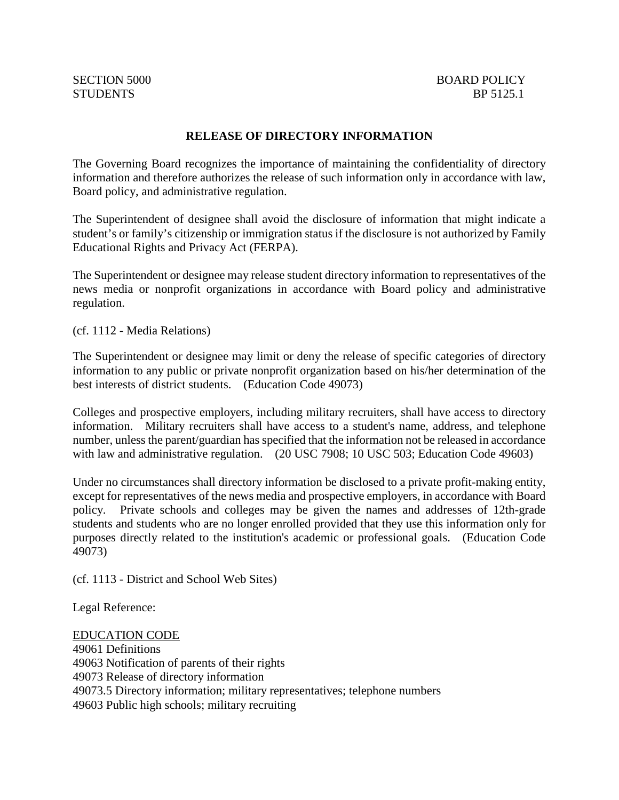#### **RELEASE OF DIRECTORY INFORMATION**

The Governing Board recognizes the importance of maintaining the confidentiality of directory information and therefore authorizes the release of such information only in accordance with law, Board policy, and administrative regulation.

The Superintendent of designee shall avoid the disclosure of information that might indicate a student's or family's citizenship or immigration status if the disclosure is not authorized by Family Educational Rights and Privacy Act (FERPA).

The Superintendent or designee may release student directory information to representatives of the news media or nonprofit organizations in accordance with Board policy and administrative regulation.

(cf. 1112 - Media Relations)

The Superintendent or designee may limit or deny the release of specific categories of directory information to any public or private nonprofit organization based on his/her determination of the best interests of district students. (Education Code 49073)

Colleges and prospective employers, including military recruiters, shall have access to directory information. Military recruiters shall have access to a student's name, address, and telephone number, unless the parent/guardian has specified that the information not be released in accordance with law and administrative regulation. (20 USC 7908; 10 USC 503; Education Code 49603)

Under no circumstances shall directory information be disclosed to a private profit-making entity, except for representatives of the news media and prospective employers, in accordance with Board policy. Private schools and colleges may be given the names and addresses of 12th-grade students and students who are no longer enrolled provided that they use this information only for purposes directly related to the institution's academic or professional goals. (Education Code 49073)

(cf. 1113 - District and School Web Sites)

Legal Reference:

EDUCATION CODE 49061 Definitions 49063 Notification of parents of their rights 49073 Release of directory information 49073.5 Directory information; military representatives; telephone numbers 49603 Public high schools; military recruiting